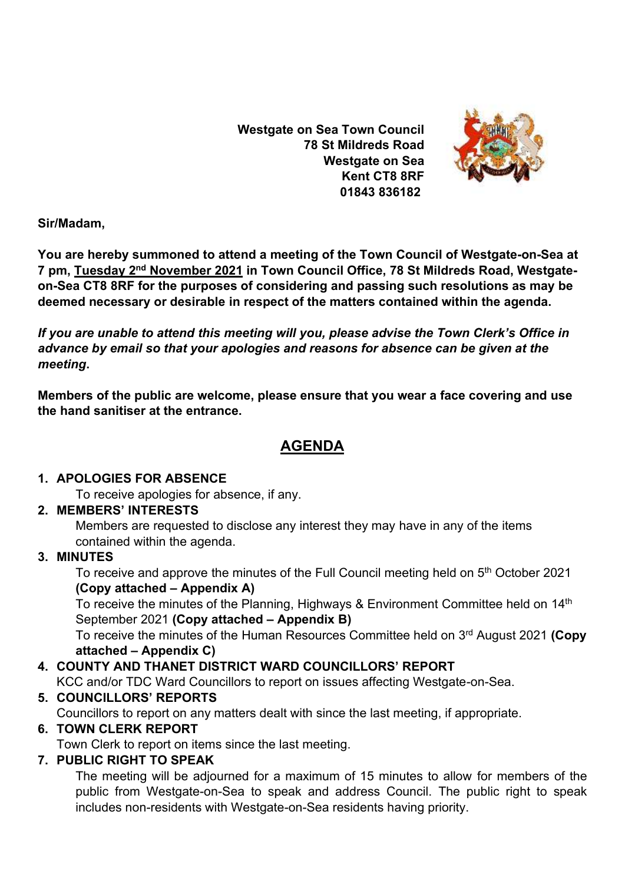**Westgate on Sea Town Council 78 St Mildreds Road Westgate on Sea Kent CT8 8RF 01843 836182**



**Sir/Madam,** 

**You are hereby summoned to attend a meeting of the Town Council of Westgate-on-Sea at 7 pm, Tuesday 2<sup>nd</sup> November 2021** in Town Council Office, 78 St Mildreds Road, Westgate**on-Sea CT8 8RF for the purposes of considering and passing such resolutions as may be deemed necessary or desirable in respect of the matters contained within the agenda.**

*If you are unable to attend this meeting will you, please advise the Town Clerk's Office in advance by email so that your apologies and reasons for absence can be given at the meeting***.**

**Members of the public are welcome, please ensure that you wear a face covering and use the hand sanitiser at the entrance.** 

# **AGENDA**

#### **1. APOLOGIES FOR ABSENCE**

To receive apologies for absence, if any.

# **2. MEMBERS' INTERESTS**

Members are requested to disclose any interest they may have in any of the items contained within the agenda.

# **3. MINUTES**

To receive and approve the minutes of the Full Council meeting held on 5<sup>th</sup> October 2021 **(Copy attached – Appendix A)**

To receive the minutes of the Planning, Highways & Environment Committee held on 14<sup>th</sup> September 2021 **(Copy attached – Appendix B)**

To receive the minutes of the Human Resources Committee held on 3 rd August 2021 **(Copy attached – Appendix C)**

# **4. COUNTY AND THANET DISTRICT WARD COUNCILLORS' REPORT**

KCC and/or TDC Ward Councillors to report on issues affecting Westgate-on-Sea.

# **5. COUNCILLORS' REPORTS**

Councillors to report on any matters dealt with since the last meeting, if appropriate.

# **6. TOWN CLERK REPORT**

Town Clerk to report on items since the last meeting.

# **7. PUBLIC RIGHT TO SPEAK**

The meeting will be adjourned for a maximum of 15 minutes to allow for members of the public from Westgate-on-Sea to speak and address Council. The public right to speak includes non-residents with Westgate-on-Sea residents having priority.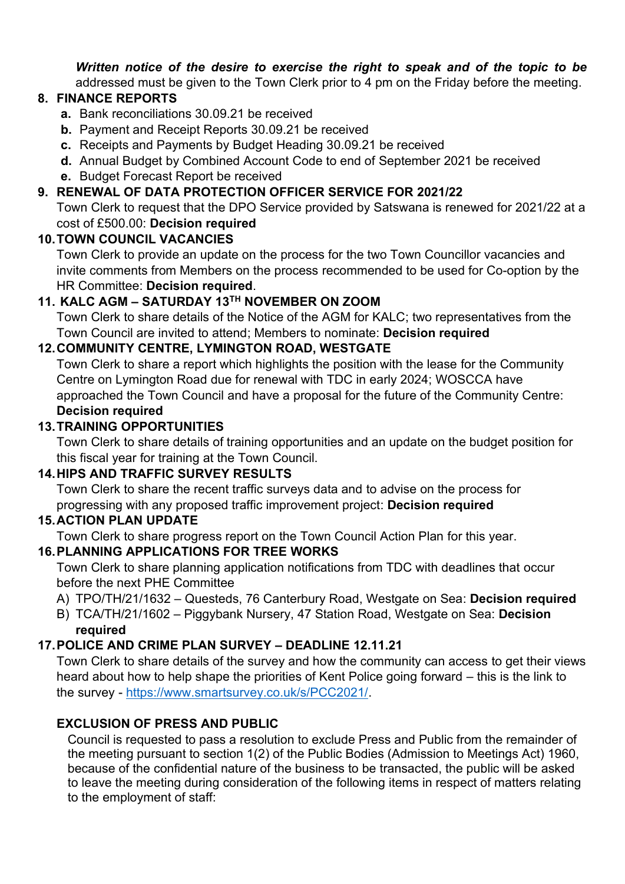*Written notice of the desire to exercise the right to speak and of the topic to be*  addressed must be given to the Town Clerk prior to 4 pm on the Friday before the meeting.

# **8. FINANCE REPORTS**

- **a.** Bank reconciliations 30.09.21 be received
- **b.** Payment and Receipt Reports 30.09.21 be received
- **c.** Receipts and Payments by Budget Heading 30.09.21 be received
- **d.** Annual Budget by Combined Account Code to end of September 2021 be received
- **e.** Budget Forecast Report be received

#### **9. RENEWAL OF DATA PROTECTION OFFICER SERVICE FOR 2021/22**

Town Clerk to request that the DPO Service provided by Satswana is renewed for 2021/22 at a cost of £500.00: **Decision required**

#### **10.TOWN COUNCIL VACANCIES**

Town Clerk to provide an update on the process for the two Town Councillor vacancies and invite comments from Members on the process recommended to be used for Co-option by the HR Committee: **Decision required**.

# **11. KALC AGM – SATURDAY 13TH NOVEMBER ON ZOOM**

Town Clerk to share details of the Notice of the AGM for KALC; two representatives from the Town Council are invited to attend; Members to nominate: **Decision required**

# **12.COMMUNITY CENTRE, LYMINGTON ROAD, WESTGATE**

Town Clerk to share a report which highlights the position with the lease for the Community Centre on Lymington Road due for renewal with TDC in early 2024; WOSCCA have approached the Town Council and have a proposal for the future of the Community Centre: **Decision required**

# **13.TRAINING OPPORTUNITIES**

Town Clerk to share details of training opportunities and an update on the budget position for this fiscal year for training at the Town Council.

#### **14.HIPS AND TRAFFIC SURVEY RESULTS**

Town Clerk to share the recent traffic surveys data and to advise on the process for progressing with any proposed traffic improvement project: **Decision required**

#### **15.ACTION PLAN UPDATE**

Town Clerk to share progress report on the Town Council Action Plan for this year.

# **16.PLANNING APPLICATIONS FOR TREE WORKS**

Town Clerk to share planning application notifications from TDC with deadlines that occur before the next PHE Committee

- A) TPO/TH/21/1632 Questeds, 76 Canterbury Road, Westgate on Sea: **Decision required**
- B) TCA/TH/21/1602 Piggybank Nursery, 47 Station Road, Westgate on Sea: **Decision required**

#### **17.POLICE AND CRIME PLAN SURVEY – DEADLINE 12.11.21**

Town Clerk to share details of the survey and how the community can access to get their views heard about how to help shape the priorities of Kent Police going forward – this is the link to the survey - [https://www.smartsurvey.co.uk/s/PCC2021/.](https://www.smartsurvey.co.uk/s/PCC2021/)

#### **EXCLUSION OF PRESS AND PUBLIC**

Council is requested to pass a resolution to exclude Press and Public from the remainder of the meeting pursuant to section 1(2) of the Public Bodies (Admission to Meetings Act) 1960, because of the confidential nature of the business to be transacted, the public will be asked to leave the meeting during consideration of the following items in respect of matters relating to the employment of staff: